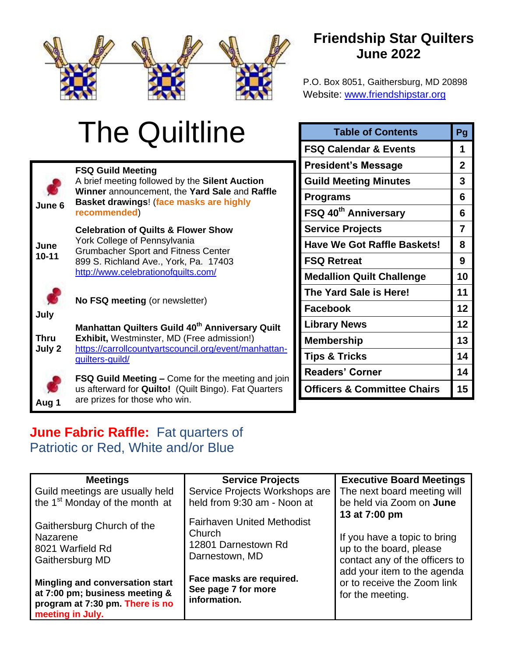

### **Friendship Star Quilters June 2022**

P.O. Box 8051, Gaithersburg, MD 20898 Website: [www.friendshipstar.org](http://www.friendshipstar.org/)

# The Quiltline



**July** 

**Aug 1**

**FSQ Guild Meeting** A brief meeting followed by the **Silent Auction Winner** announcement, the **Yard Sale** and **Raffle Basket drawings**! (**face masks are highly recommended**) **Celebration of Quilts & Flower Show**  York College of Pennsylvania Grumbacher Sport and Fitness Center 899 S. Richland Ave., York, Pa. 17403 <http://www.celebrationofquilts.com/> **No FSQ meeting** (or newsletter) **Manhattan Quilters Guild 40th Anniversary Quilt** 

**Thru July 2 Exhibit,** Westminster, MD (Free admission!) [https://carrollcountyartscouncil.org/event/manhattan](https://carrollcountyartscouncil.org/event/manhattan-quilters-guild/)[quilters-guild/](https://carrollcountyartscouncil.org/event/manhattan-quilters-guild/)

> **FSQ Guild Meeting –** Come for the meeting and join us afterward for **Quilto!** (Quilt Bingo). Fat Quarters are prizes for those who win.

| <b>Table of Contents</b>               | Pg             |
|----------------------------------------|----------------|
| <b>FSQ Calendar &amp; Events</b>       | 1              |
| <b>President's Message</b>             | $\overline{2}$ |
| <b>Guild Meeting Minutes</b>           | 3              |
| <b>Programs</b>                        | 6              |
| FSQ 40 <sup>th</sup> Anniversary       | 6              |
| <b>Service Projects</b>                | $\overline{7}$ |
| <b>Have We Got Raffle Baskets!</b>     | 8              |
| <b>FSQ Retreat</b>                     | 9              |
| <b>Medallion Quilt Challenge</b>       | 10             |
| The Yard Sale is Here!                 | 11             |
| Facebook                               | 12             |
| <b>Library News</b>                    | 12             |
| <b>Membership</b>                      | 13             |
| <b>Tips &amp; Tricks</b>               | 14             |
| <b>Readers' Corner</b>                 | 14             |
| <b>Officers &amp; Committee Chairs</b> | 15             |

#### **June Fabric Raffle:** Fat quarters of Patriotic or Red, White and/or Blue

| <b>Meetings</b>                                                                                                          | <b>Service Projects</b>                                                              | <b>Executive Board Meetings</b>                                                                            |
|--------------------------------------------------------------------------------------------------------------------------|--------------------------------------------------------------------------------------|------------------------------------------------------------------------------------------------------------|
| Guild meetings are usually held                                                                                          | Service Projects Workshops are                                                       | The next board meeting will                                                                                |
| the 1 <sup>st</sup> Monday of the month at                                                                               | held from 9:30 am - Noon at                                                          | be held via Zoom on <b>June</b>                                                                            |
| Gaithersburg Church of the<br>Nazarene<br>8021 Warfield Rd<br>Gaithersburg MD                                            | <b>Fairhaven United Methodist</b><br>Church<br>12801 Darnestown Rd<br>Darnestown, MD | 13 at 7:00 pm<br>If you have a topic to bring<br>up to the board, please<br>contact any of the officers to |
| Mingling and conversation start<br>at 7:00 pm; business meeting &<br>program at 7:30 pm. There is no<br>meeting in July. | Face masks are required.<br>See page 7 for more<br>information.                      | add your item to the agenda<br>or to receive the Zoom link<br>for the meeting.                             |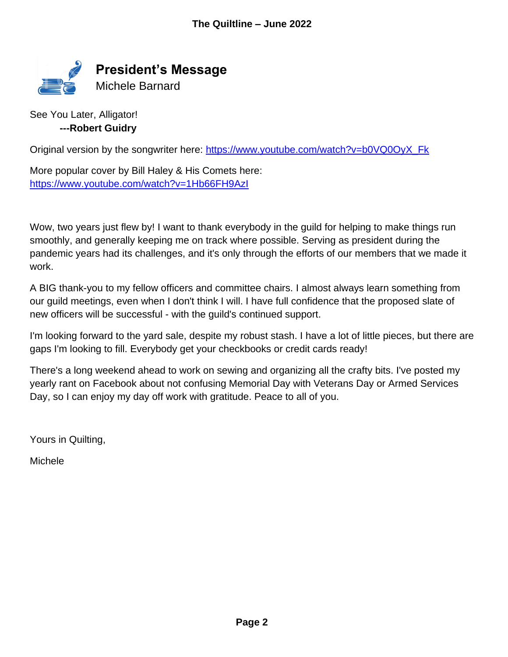

See You Later, Alligator! **---Robert Guidry**

Original version by the songwriter here: [https://www.youtube.com/watch?v=b0VQ0OyX\\_Fk](https://www.youtube.com/watch?v=b0VQ0OyX_Fk)

More popular cover by Bill Haley & His Comets here: <https://www.youtube.com/watch?v=1Hb66FH9AzI>

Wow, two years just flew by! I want to thank everybody in the guild for helping to make things run smoothly, and generally keeping me on track where possible. Serving as president during the pandemic years had its challenges, and it's only through the efforts of our members that we made it work.

A BIG thank-you to my fellow officers and committee chairs. I almost always learn something from our guild meetings, even when I don't think I will. I have full confidence that the proposed slate of new officers will be successful - with the guild's continued support.

I'm looking forward to the yard sale, despite my robust stash. I have a lot of little pieces, but there are gaps I'm looking to fill. Everybody get your checkbooks or credit cards ready!

There's a long weekend ahead to work on sewing and organizing all the crafty bits. I've posted my yearly rant on Facebook about not confusing Memorial Day with Veterans Day or Armed Services Day, so I can enjoy my day off work with gratitude. Peace to all of you.

Yours in Quilting,

Michele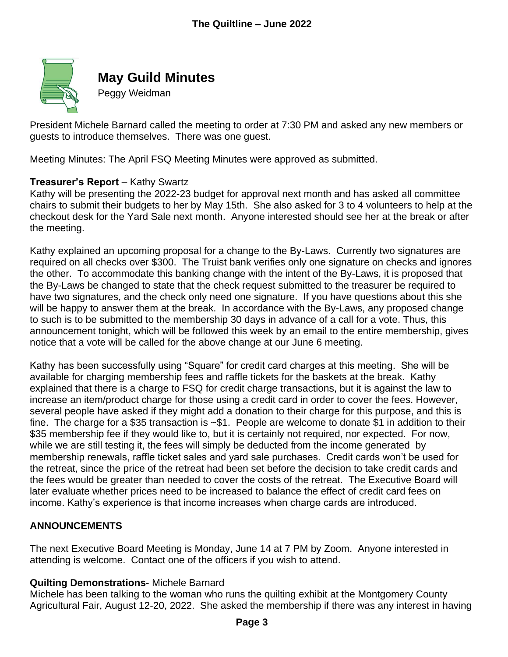

**May Guild Minutes**

Peggy Weidman

President Michele Barnard called the meeting to order at 7:30 PM and asked any new members or guests to introduce themselves. There was one guest.

Meeting Minutes: The April FSQ Meeting Minutes were approved as submitted.

#### **Treasurer's Report** – Kathy Swartz

Kathy will be presenting the 2022-23 budget for approval next month and has asked all committee chairs to submit their budgets to her by May 15th. She also asked for 3 to 4 volunteers to help at the checkout desk for the Yard Sale next month. Anyone interested should see her at the break or after the meeting.

Kathy explained an upcoming proposal for a change to the By-Laws. Currently two signatures are required on all checks over \$300. The Truist bank verifies only one signature on checks and ignores the other. To accommodate this banking change with the intent of the By-Laws, it is proposed that the By-Laws be changed to state that the check request submitted to the treasurer be required to have two signatures, and the check only need one signature. If you have questions about this she will be happy to answer them at the break. In accordance with the By-Laws, any proposed change to such is to be submitted to the membership 30 days in advance of a call for a vote. Thus, this announcement tonight, which will be followed this week by an email to the entire membership, gives notice that a vote will be called for the above change at our June 6 meeting.

Kathy has been successfully using "Square" for credit card charges at this meeting. She will be available for charging membership fees and raffle tickets for the baskets at the break. Kathy explained that there is a charge to FSQ for credit charge transactions, but it is against the law to increase an item/product charge for those using a credit card in order to cover the fees. However, several people have asked if they might add a donation to their charge for this purpose, and this is fine. The charge for a \$35 transaction is ~\$1. People are welcome to donate \$1 in addition to their \$35 membership fee if they would like to, but it is certainly not required, nor expected. For now, while we are still testing it, the fees will simply be deducted from the income generated by membership renewals, raffle ticket sales and yard sale purchases. Credit cards won't be used for the retreat, since the price of the retreat had been set before the decision to take credit cards and the fees would be greater than needed to cover the costs of the retreat. The Executive Board will later evaluate whether prices need to be increased to balance the effect of credit card fees on income. Kathy's experience is that income increases when charge cards are introduced.

#### **ANNOUNCEMENTS**

The next Executive Board Meeting is Monday, June 14 at 7 PM by Zoom. Anyone interested in attending is welcome. Contact one of the officers if you wish to attend.

#### **Quilting Demonstrations**- Michele Barnard

Michele has been talking to the woman who runs the quilting exhibit at the Montgomery County Agricultural Fair, August 12-20, 2022. She asked the membership if there was any interest in having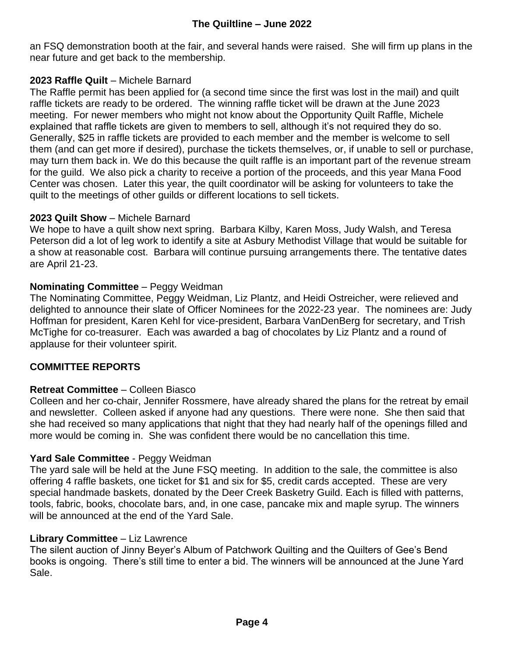an FSQ demonstration booth at the fair, and several hands were raised. She will firm up plans in the near future and get back to the membership.

#### **2023 Raffle Quilt** – Michele Barnard

The Raffle permit has been applied for (a second time since the first was lost in the mail) and quilt raffle tickets are ready to be ordered. The winning raffle ticket will be drawn at the June 2023 meeting. For newer members who might not know about the Opportunity Quilt Raffle, Michele explained that raffle tickets are given to members to sell, although it's not required they do so. Generally, \$25 in raffle tickets are provided to each member and the member is welcome to sell them (and can get more if desired), purchase the tickets themselves, or, if unable to sell or purchase, may turn them back in. We do this because the quilt raffle is an important part of the revenue stream for the guild. We also pick a charity to receive a portion of the proceeds, and this year Mana Food Center was chosen. Later this year, the quilt coordinator will be asking for volunteers to take the quilt to the meetings of other guilds or different locations to sell tickets.

#### **2023 Quilt Show** – Michele Barnard

We hope to have a quilt show next spring. Barbara Kilby, Karen Moss, Judy Walsh, and Teresa Peterson did a lot of leg work to identify a site at Asbury Methodist Village that would be suitable for a show at reasonable cost. Barbara will continue pursuing arrangements there. The tentative dates are April 21-23.

#### **Nominating Committee** – Peggy Weidman

The Nominating Committee, Peggy Weidman, Liz Plantz, and Heidi Ostreicher, were relieved and delighted to announce their slate of Officer Nominees for the 2022-23 year. The nominees are: Judy Hoffman for president, Karen Kehl for vice-president, Barbara VanDenBerg for secretary, and Trish McTighe for co-treasurer. Each was awarded a bag of chocolates by Liz Plantz and a round of applause for their volunteer spirit.

#### **COMMITTEE REPORTS**

#### **Retreat Committee** – Colleen Biasco

Colleen and her co-chair, Jennifer Rossmere, have already shared the plans for the retreat by email and newsletter. Colleen asked if anyone had any questions. There were none. She then said that she had received so many applications that night that they had nearly half of the openings filled and more would be coming in. She was confident there would be no cancellation this time.

#### **Yard Sale Committee** - Peggy Weidman

The yard sale will be held at the June FSQ meeting. In addition to the sale, the committee is also offering 4 raffle baskets, one ticket for \$1 and six for \$5, credit cards accepted. These are very special handmade baskets, donated by the Deer Creek Basketry Guild. Each is filled with patterns, tools, fabric, books, chocolate bars, and, in one case, pancake mix and maple syrup. The winners will be announced at the end of the Yard Sale.

#### **Library Committee** – Liz Lawrence

The silent auction of Jinny Beyer's Album of Patchwork Quilting and the Quilters of Gee's Bend books is ongoing. There's still time to enter a bid. The winners will be announced at the June Yard Sale.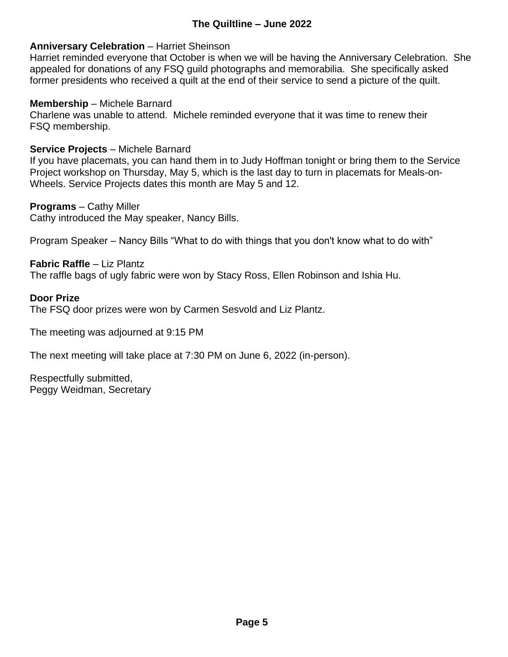#### **The Quiltline – June 2022**

#### **Anniversary Celebration** – Harriet Sheinson

Harriet reminded everyone that October is when we will be having the Anniversary Celebration. She appealed for donations of any FSQ guild photographs and memorabilia. She specifically asked former presidents who received a quilt at the end of their service to send a picture of the quilt.

#### **Membership** – Michele Barnard

Charlene was unable to attend. Michele reminded everyone that it was time to renew their FSQ membership.

#### **Service Projects** – Michele Barnard

If you have placemats, you can hand them in to Judy Hoffman tonight or bring them to the Service Project workshop on Thursday, May 5, which is the last day to turn in placemats for Meals-on-Wheels. Service Projects dates this month are May 5 and 12.

#### **Programs** – Cathy Miller

Cathy introduced the May speaker, Nancy Bills.

Program Speaker – Nancy Bills "What to do with things that you don't know what to do with"

#### **Fabric Raffle** – Liz Plantz The raffle bags of ugly fabric were won by Stacy Ross, Ellen Robinson and Ishia Hu.

#### **Door Prize**

The FSQ door prizes were won by Carmen Sesvold and Liz Plantz.

The meeting was adjourned at 9:15 PM

The next meeting will take place at 7:30 PM on June 6, 2022 (in-person).

Respectfully submitted, Peggy Weidman, Secretary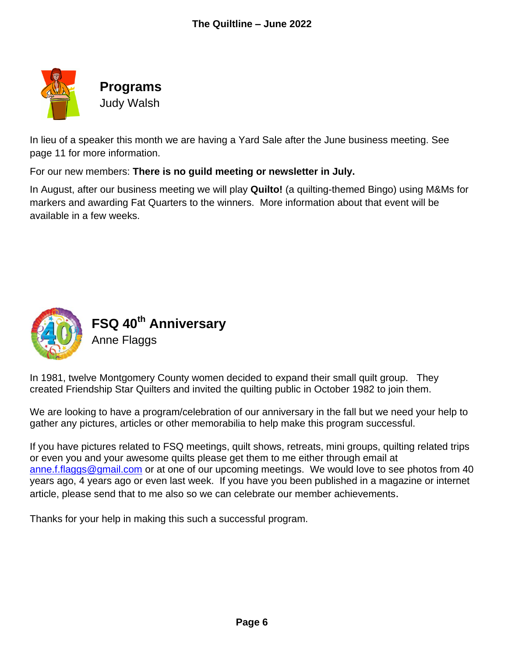

**Programs**

Judy Walsh

In lieu of a speaker this month we are having a Yard Sale after the June business meeting. See page 11 for more information.

For our new members: **There is no guild meeting or newsletter in July.**

In August, after our business meeting we will play **Quilto!** (a quilting-themed Bingo) using M&Ms for markers and awarding Fat Quarters to the winners. More information about that event will be available in a few weeks.



**FSQ 40th Anniversary**

Anne Flaggs

In 1981, twelve Montgomery County women decided to expand their small quilt group. They created Friendship Star Quilters and invited the quilting public in October 1982 to join them.

We are looking to have a program/celebration of our anniversary in the fall but we need your help to gather any pictures, articles or other memorabilia to help make this program successful.

If you have pictures related to FSQ meetings, quilt shows, retreats, mini groups, quilting related trips or even you and your awesome quilts please get them to me either through email at [anne.f.flaggs@gmail.com](mailto:anne.f.flaggs@gmail.com) or at one of our upcoming meetings. We would love to see photos from 40 years ago, 4 years ago or even last week. If you have you been published in a magazine or internet article, please send that to me also so we can celebrate our member achievements.

Thanks for your help in making this such a successful program.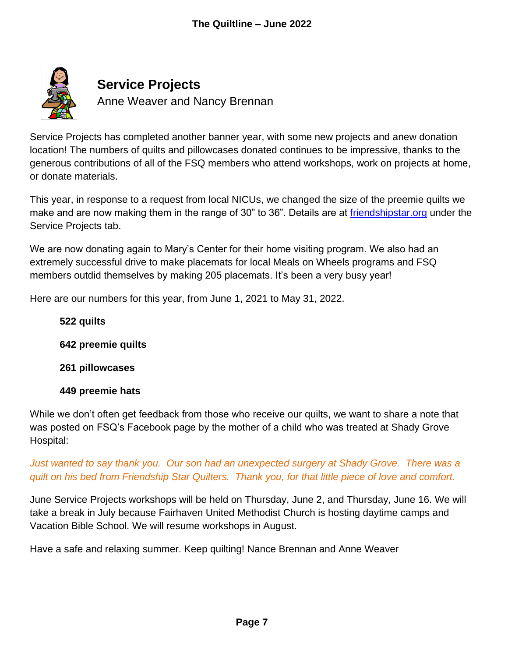

Service Projects has completed another banner year, with some new projects and anew donation location! The numbers of quilts and pillowcases donated continues to be impressive, thanks to the generous contributions of all of the FSQ members who attend workshops, work on projects at home, or donate materials.

This year, in response to a request from local NICUs, we changed the size of the preemie quilts we make and are now making them in the range of 30" to 36". Details are at [friendshipstar.org](https://friendshipstar.org/) under the Service Projects tab.

We are now donating again to Mary's Center for their home visiting program. We also had an extremely successful drive to make placemats for local Meals on Wheels programs and FSQ members outdid themselves by making 205 placemats. It's been a very busy year!

Here are our numbers for this year, from June 1, 2021 to May 31, 2022.

#### **522 quilts**

**642 preemie quilts**

**261 pillowcases**

#### **449 preemie hats**

While we don't often get feedback from those who receive our quilts, we want to share a note that was posted on FSQ's Facebook page by the mother of a child who was treated at Shady Grove Hospital:

Just wanted to say thank you. Our son had an unexpected surgery at Shady Grove. There was a *quilt on his bed from Friendship Star Quilters. Thank you, for that little piece of love and comfort.*

June Service Projects workshops will be held on Thursday, June 2, and Thursday, June 16. We will take a break in July because Fairhaven United Methodist Church is hosting daytime camps and Vacation Bible School. We will resume workshops in August.

Have a safe and relaxing summer. Keep quilting! Nance Brennan and Anne Weaver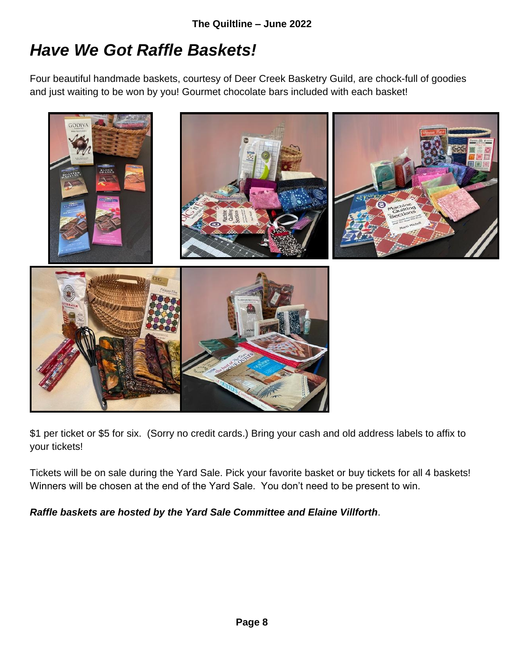### *Have We Got Raffle Baskets!*

Four beautiful handmade baskets, courtesy of Deer Creek Basketry Guild, are chock-full of goodies and just waiting to be won by you! Gourmet chocolate bars included with each basket!



\$1 per ticket or \$5 for six. (Sorry no credit cards.) Bring your cash and old address labels to affix to your tickets!

Tickets will be on sale during the Yard Sale. Pick your favorite basket or buy tickets for all 4 baskets! Winners will be chosen at the end of the Yard Sale. You don't need to be present to win.

*Raffle baskets are hosted by the Yard Sale Committee and Elaine Villforth*.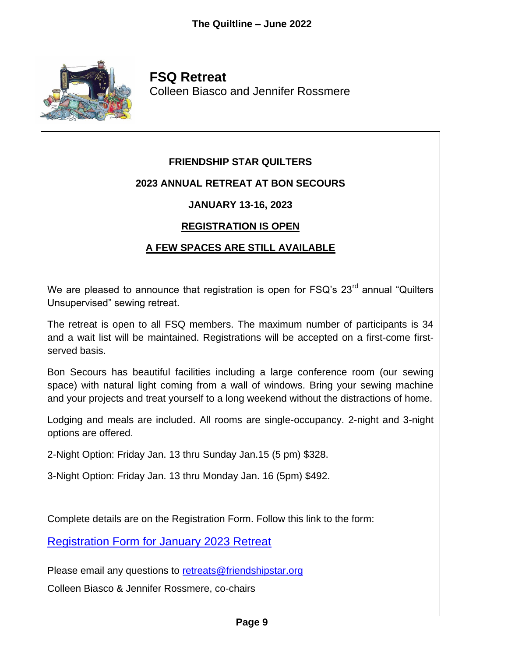

**FSQ Retreat** Colleen Biasco and Jennifer Rossmere

#### **FRIENDSHIP STAR QUILTERS**

#### **2023 ANNUAL RETREAT AT BON SECOURS**

#### **JANUARY 13-16, 2023**

#### **REGISTRATION IS OPEN**

#### **A FEW SPACES ARE STILL AVAILABLE**

We are pleased to announce that registration is open for FSQ's 23<sup>rd</sup> annual "Quilters Unsupervised" sewing retreat.

The retreat is open to all FSQ members. The maximum number of participants is 34 and a wait list will be maintained. Registrations will be accepted on a first-come firstserved basis.

Bon Secours has beautiful facilities including a large conference room (our sewing space) with natural light coming from a wall of windows. Bring your sewing machine and your projects and treat yourself to a long weekend without the distractions of home.

Lodging and meals are included. All rooms are single-occupancy. 2-night and 3-night options are offered.

2-Night Option: Friday Jan. 13 thru Sunday Jan.15 (5 pm) \$328.

3-Night Option: Friday Jan. 13 thru Monday Jan. 16 (5pm) \$492.

Complete details are on the Registration Form. Follow this link to the form:

[Registration Form for January 2023 Retreat](https://friendshipstar.org/wp-content/uploads/2022/04/Jan.-2023-Retreat-Registration.pdf)

Please email any questions to [retreats@friendshipstar.org](mailto:retreats@friendshipstar.org)

Colleen Biasco & Jennifer Rossmere, co-chairs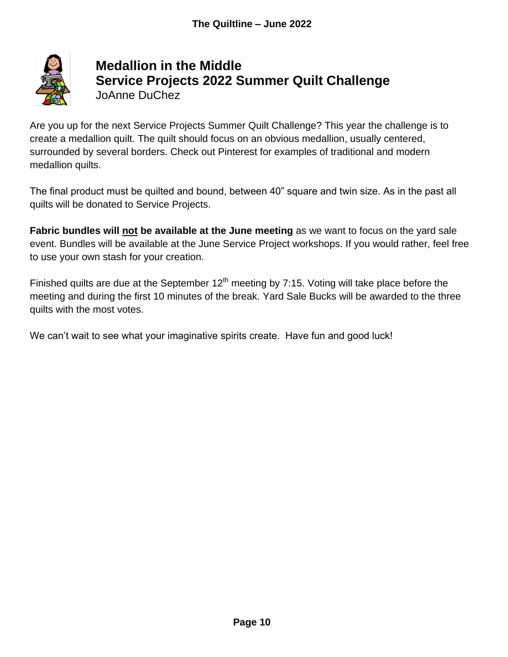

#### **Medallion in the Middle Service Projects 2022 Summer Quilt Challenge** JoAnne DuChez

Are you up for the next Service Projects Summer Quilt Challenge? This year the challenge is to create a medallion quilt. The quilt should focus on an obvious medallion, usually centered, surrounded by several borders. Check out Pinterest for examples of traditional and modern medallion quilts.

The final product must be quilted and bound, between 40" square and twin size. As in the past all quilts will be donated to Service Projects.

**Fabric bundles will not be available at the June meeting** as we want to focus on the yard sale event. Bundles will be available at the June Service Project workshops. If you would rather, feel free to use your own stash for your creation.

Finished quilts are due at the September  $12<sup>th</sup>$  meeting by 7:15. Voting will take place before the meeting and during the first 10 minutes of the break. Yard Sale Bucks will be awarded to the three quilts with the most votes.

We can't wait to see what your imaginative spirits create. Have fun and good luck!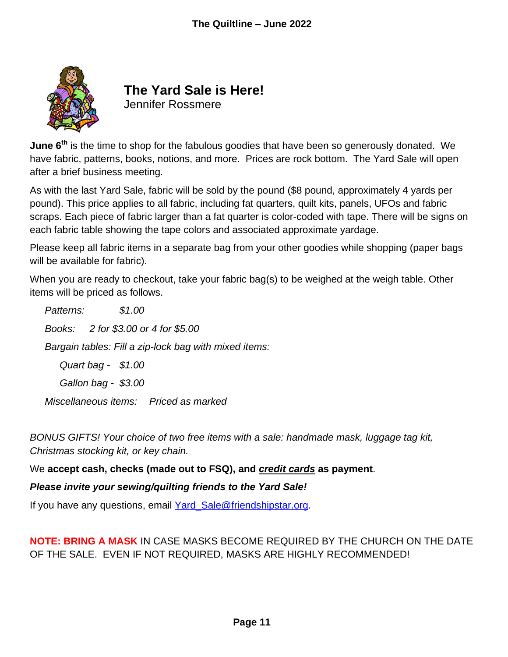

## **The Yard Sale is Here!**

Jennifer Rossmere

**June 6th** is the time to shop for the fabulous goodies that have been so generously donated. We have fabric, patterns, books, notions, and more. Prices are rock bottom. The Yard Sale will open after a brief business meeting.

As with the last Yard Sale, fabric will be sold by the pound (\$8 pound, approximately 4 yards per pound). This price applies to all fabric, including fat quarters, quilt kits, panels, UFOs and fabric scraps. Each piece of fabric larger than a fat quarter is color-coded with tape. There will be signs on each fabric table showing the tape colors and associated approximate yardage.

Please keep all fabric items in a separate bag from your other goodies while shopping (paper bags will be available for fabric).

When you are ready to checkout, take your fabric bag(s) to be weighed at the weigh table. Other items will be priced as follows.

*Patterns: \$1.00 Books: 2 for \$3.00 or 4 for \$5.00 Bargain tables: Fill a zip-lock bag with mixed items: Quart bag - \$1.00 Gallon bag - \$3.00*

*Miscellaneous items: Priced as marked*

*BONUS GIFTS! Your choice of two free items with a sale: handmade mask, luggage tag kit, Christmas stocking kit, or key chain.* 

We **accept cash, checks (made out to FSQ), and** *credit cards* **as payment**.

*Please invite your sewing/quilting friends to the Yard Sale!* 

If you have any questions, email [Yard\\_Sale@friendshipstar.org.](mailto:Yard_Sale@friendshipstar.org)

**NOTE: BRING A MASK** IN CASE MASKS BECOME REQUIRED BY THE CHURCH ON THE DATE OF THE SALE. EVEN IF NOT REQUIRED, MASKS ARE HIGHLY RECOMMENDED!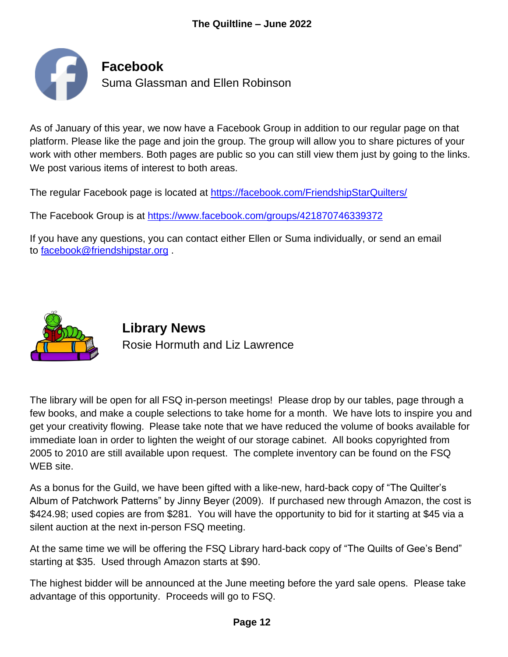

As of January of this year, we now have a Facebook Group in addition to our regular page on that platform. Please like the page and join the group. The group will allow you to share pictures of your work with other members. Both pages are public so you can still view them just by going to the links. We post various items of interest to both areas.

The regular Facebook page is located at <https://facebook.com/FriendshipStarQuilters/>

The Facebook Group is at <https://www.facebook.com/groups/421870746339372>

If you have any questions, you can contact either Ellen or Suma individually, or send an email to [facebook@friendshipstar.org](mailto:facebook@friendshipstar.org) .



**Library News** Rosie Hormuth and Liz Lawrence

The library will be open for all FSQ in-person meetings! Please drop by our tables, page through a few books, and make a couple selections to take home for a month. We have lots to inspire you and get your creativity flowing. Please take note that we have reduced the volume of books available for immediate loan in order to lighten the weight of our storage cabinet. All books copyrighted from 2005 to 2010 are still available upon request. The complete inventory can be found on the FSQ WEB site.

As a bonus for the Guild, we have been gifted with a like-new, hard-back copy of "The Quilter's Album of Patchwork Patterns" by Jinny Beyer (2009). If purchased new through Amazon, the cost is \$424.98; used copies are from \$281. You will have the opportunity to bid for it starting at \$45 via a silent auction at the next in-person FSQ meeting.

At the same time we will be offering the FSQ Library hard-back copy of "The Quilts of Gee's Bend" starting at \$35. Used through Amazon starts at \$90.

The highest bidder will be announced at the June meeting before the yard sale opens. Please take advantage of this opportunity. Proceeds will go to FSQ.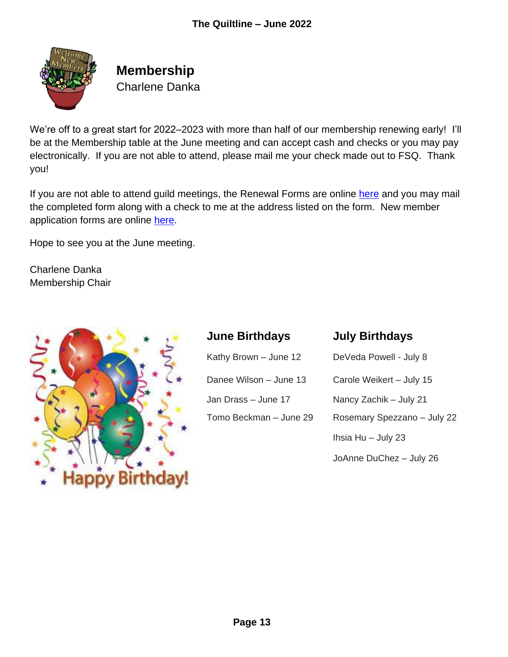

### **Membership** Charlene Danka

We're off to a great start for 2022–2023 with more than half of our membership renewing early! I'll be at the Membership table at the June meeting and can accept cash and checks or you may pay electronically. If you are not able to attend, please mail me your check made out to FSQ. Thank you!

If you are not able to attend guild meetings, the Renewal Forms are online [here](https://friendshipstar.org/wp-content/uploads/2022/04/FSQ-Membership-Renewal-Form-2022-2023.pdf) and you may mail the completed form along with a check to me at the address listed on the form. New member application forms are online [here.](https://friendshipstar.org/wp-content/uploads/2022/04/FSQ-New-Member-Form-3-2022-2023.pdf)

Hope to see you at the June meeting.

Charlene Danka Membership Chair



#### **June Birthdays July Birthdays**

| Kathy Brown - June 12                           | DeVeda Powell - July 8   |
|-------------------------------------------------|--------------------------|
| Danee Wilson - June 13                          | Carole Weikert - July 15 |
| Jan Drass - June 17                             | Nancy Zachik - July 21   |
| Tomo Beckman - June 29<br>Rosemary Spezzano - J |                          |
|                                                 | Ihsia Hu - July 23       |

| Kathy Brown – June 12  | DeVeda Powell - July 8      |  |
|------------------------|-----------------------------|--|
| Danee Wilson – June 13 | Carole Weikert - July 15    |  |
| Jan Drass – June 17    | Nancy Zachik – July 21      |  |
| Tomo Beckman - June 29 | Rosemary Spezzano - July 22 |  |
|                        | Ihsia Hu $-$ July 23        |  |
|                        | JoAnne DuChez - July 26     |  |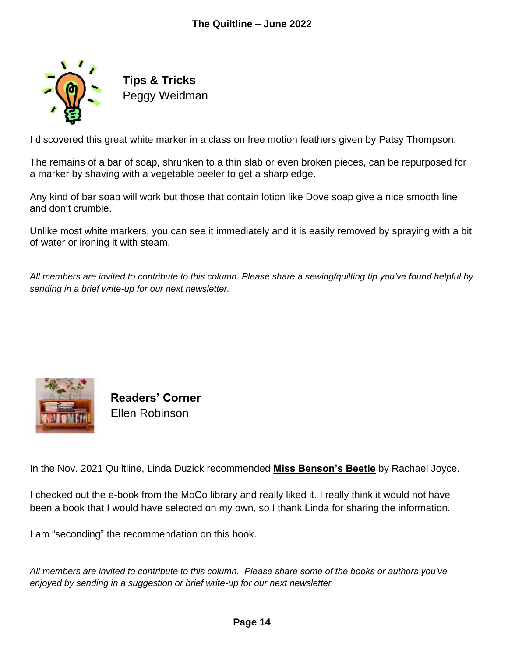

**Tips & Tricks** Peggy Weidman

I discovered this great white marker in a class on free motion feathers given by Patsy Thompson.

The remains of a bar of soap, shrunken to a thin slab or even broken pieces, can be repurposed for a marker by shaving with a vegetable peeler to get a sharp edge.

Any kind of bar soap will work but those that contain lotion like Dove soap give a nice smooth line and don't crumble.

Unlike most white markers, you can see it immediately and it is easily removed by spraying with a bit of water or ironing it with steam.

*All members are invited to contribute to this column. Please share a sewing/quilting tip you've found helpful by sending in a brief write-up for our next newsletter.*



**Readers' Corner** Ellen Robinson

In the Nov. 2021 Quiltline, Linda Duzick recommended **Miss Benson's Beetle** by Rachael Joyce.

I checked out the e-book from the MoCo library and really liked it. I really think it would not have been a book that I would have selected on my own, so I thank Linda for sharing the information.

I am "seconding" the recommendation on this book.

*All members are invited to contribute to this column. Please share some of the books or authors you've enjoyed by sending in a suggestion or brief write-up for our next newsletter.*